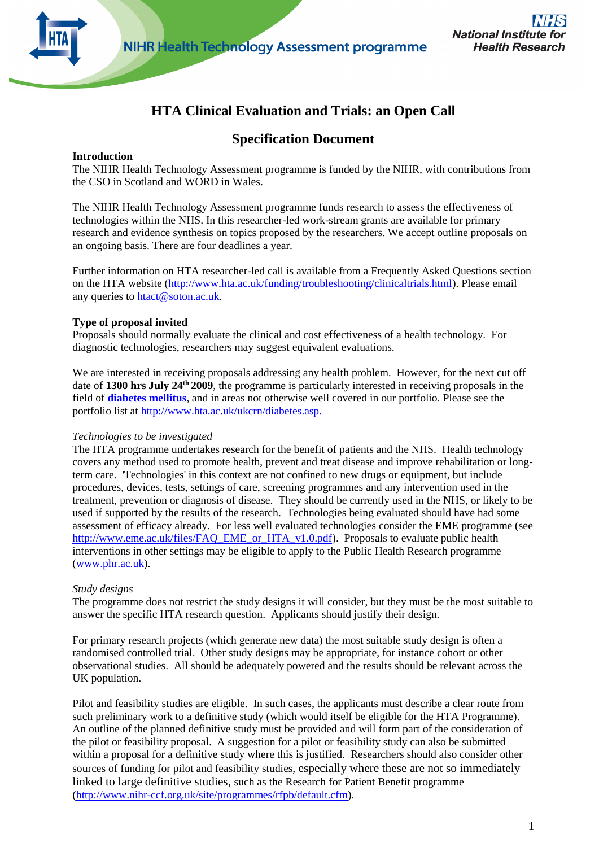

# **HTA Clinical Evaluation and Trials: an Open Call**

## **Specification Document**

#### **Introduction**

The NIHR Health Technology Assessment programme is funded by the NIHR, with contributions from the CSO in Scotland and WORD in Wales.

The NIHR Health Technology Assessment programme funds research to assess the effectiveness of technologies within the NHS. In this researcher-led work-stream grants are available for primary research and evidence synthesis on topics proposed by the researchers. We accept outline proposals on an ongoing basis. There are four deadlines a year.

Further information on HTA researcher-led call is available from a Frequently Asked Questions section on the HTA website [\(http://www.hta.ac.uk/funding/troubleshooting/clinicaltrials.html\)](http://www.hta.ac.uk/funding/troubleshooting/clinicaltrials.html). Please email any queries to [htact@soton.ac.uk.](mailto:htact@soton.ac.uk)

#### **Type of proposal invited**

Proposals should normally evaluate the clinical and cost effectiveness of a health technology. For diagnostic technologies, researchers may suggest equivalent evaluations.

We are interested in receiving proposals addressing any health problem. However, for the next cut off date of 1300 hrs July 24<sup>th</sup> 2009, the programme is particularly interested in receiving proposals in the field of **diabetes mellitus**, and in areas not otherwise well covered in our portfolio. Please see the portfolio list at [http://www.hta.ac.uk/ukcrn/diabetes.asp.](http://www.hta.ac.uk/ukcrn/diabetes.asp)

#### *Technologies to be investigated*

The HTA programme undertakes research for the benefit of patients and the NHS. Health technology covers any method used to promote health, prevent and treat disease and improve rehabilitation or longterm care. 'Technologies' in this context are not confined to new drugs or equipment, but include procedures, devices, tests, settings of care, screening programmes and any intervention used in the treatment, prevention or diagnosis of disease. They should be currently used in the NHS, or likely to be used if supported by the results of the research. Technologies being evaluated should have had some assessment of efficacy already. For less well evaluated technologies consider the EME programme (see [http://www.eme.ac.uk/files/FAQ\\_EME\\_or\\_HTA\\_v1.0.pdf\)](http://www.eme.ac.uk/files/FAQ_EME_or_HTA_v1.0.pdf). Proposals to evaluate public health interventions in other settings may be eligible to apply to the Public Health Research programme [\(www.phr.ac.uk\)](http://www.phr.ac.uk/).

#### *Study designs*

The programme does not restrict the study designs it will consider, but they must be the most suitable to answer the specific HTA research question. Applicants should justify their design.

For primary research projects (which generate new data) the most suitable study design is often a randomised controlled trial. Other study designs may be appropriate, for instance cohort or other observational studies. All should be adequately powered and the results should be relevant across the UK population.

Pilot and feasibility studies are eligible. In such cases, the applicants must describe a clear route from such preliminary work to a definitive study (which would itself be eligible for the HTA Programme). An outline of the planned definitive study must be provided and will form part of the consideration of the pilot or feasibility proposal. A suggestion for a pilot or feasibility study can also be submitted within a proposal for a definitive study where this is justified. Researchers should also consider other sources of funding for pilot and feasibility studies, especially where these are not so immediately linked to large definitive studies, such as the Research for Patient Benefit programme [\(http://www.nihr-ccf.org.uk/site/programmes/rfpb/default.cfm\)](http://www.nihr-ccf.org.uk/site/programmes/rfpb/default.cfm).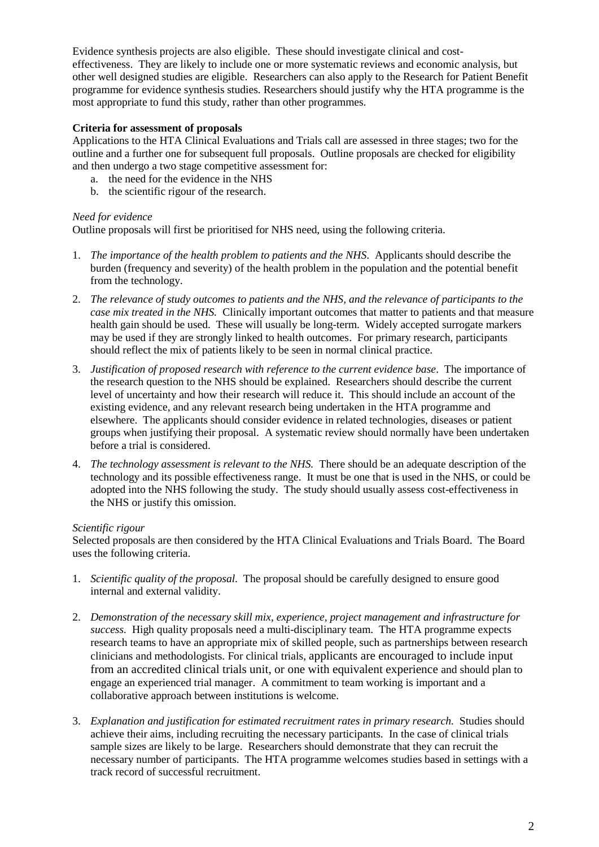Evidence synthesis projects are also eligible. These should investigate clinical and costeffectiveness. They are likely to include one or more systematic reviews and economic analysis, but other well designed studies are eligible. Researchers can also apply to the Research for Patient Benefit programme for evidence synthesis studies. Researchers should justify why the HTA programme is the most appropriate to fund this study, rather than other programmes.

#### **Criteria for assessment of proposals**

Applications to the HTA Clinical Evaluations and Trials call are assessed in three stages; two for the outline and a further one for subsequent full proposals. Outline proposals are checked for eligibility and then undergo a two stage competitive assessment for:

- a. the need for the evidence in the NHS
- b. the scientific rigour of the research.

#### *Need for evidence*

Outline proposals will first be prioritised for NHS need, using the following criteria.

- 1. *The importance of the health problem to patients and the NHS*. Applicants should describe the burden (frequency and severity) of the health problem in the population and the potential benefit from the technology.
- 2. *The relevance of study outcomes to patients and the NHS, and the relevance of participants to the case mix treated in the NHS.* Clinically important outcomes that matter to patients and that measure health gain should be used. These will usually be long-term. Widely accepted surrogate markers may be used if they are strongly linked to health outcomes. For primary research, participants should reflect the mix of patients likely to be seen in normal clinical practice.
- 3. *Justification of proposed research with reference to the current evidence base*. The importance of the research question to the NHS should be explained. Researchers should describe the current level of uncertainty and how their research will reduce it. This should include an account of the existing evidence, and any relevant research being undertaken in the HTA programme and elsewhere. The applicants should consider evidence in related technologies, diseases or patient groups when justifying their proposal. A systematic review should normally have been undertaken before a trial is considered.
- 4. *The technology assessment is relevant to the NHS.* There should be an adequate description of the technology and its possible effectiveness range. It must be one that is used in the NHS, or could be adopted into the NHS following the study. The study should usually assess cost-effectiveness in the NHS or justify this omission.

#### *Scientific rigour*

Selected proposals are then considered by the HTA Clinical Evaluations and Trials Board. The Board uses the following criteria.

- 1. *Scientific quality of the proposal.* The proposal should be carefully designed to ensure good internal and external validity.
- 2. *Demonstration of the necessary skill mix, experience, project management and infrastructure for success.* High quality proposals need a multi-disciplinary team. The HTA programme expects research teams to have an appropriate mix of skilled people, such as partnerships between research clinicians and methodologists. For clinical trials, applicants are encouraged to include input from an accredited clinical trials unit, or one with equivalent experience and should plan to engage an experienced trial manager. A commitment to team working is important and a collaborative approach between institutions is welcome.
- 3. *Explanation and justification for estimated recruitment rates in primary research.* Studies should achieve their aims, including recruiting the necessary participants. In the case of clinical trials sample sizes are likely to be large. Researchers should demonstrate that they can recruit the necessary number of participants. The HTA programme welcomes studies based in settings with a track record of successful recruitment.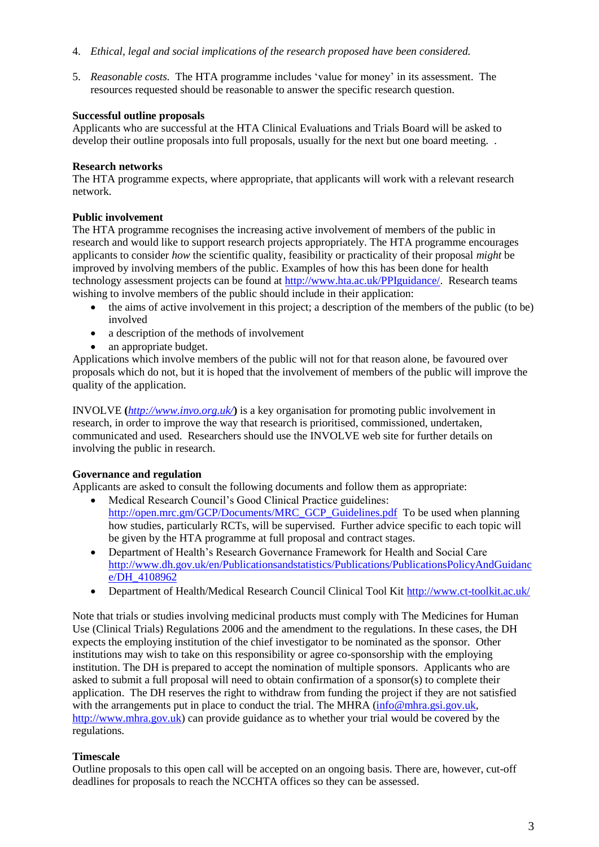- 4. *Ethical, legal and social implications of the research proposed have been considered.*
- 5. *Reasonable costs.* The HTA programme includes 'value for money' in its assessment. The resources requested should be reasonable to answer the specific research question.

## **Successful outline proposals**

Applicants who are successful at the HTA Clinical Evaluations and Trials Board will be asked to develop their outline proposals into full proposals, usually for the next but one board meeting. .

## **Research networks**

The HTA programme expects, where appropriate, that applicants will work with a relevant research network.

## **Public involvement**

The HTA programme recognises the increasing active involvement of members of the public in research and would like to support research projects appropriately. The HTA programme encourages applicants to consider *how* the scientific quality, feasibility or practicality of their proposal *might* be improved by involving members of the public. Examples of how this has been done for health technology assessment projects can be found at [http://www.hta.ac.uk/PPIguidance/.](http://www.hta.ac.uk/PPIguidance/) Research teams wishing to involve members of the public should include in their application:

- the aims of active involvement in this project; a description of the members of the public (to be) involved
- a description of the methods of involvement
- an appropriate budget.

Applications which involve members of the public will not for that reason alone, be favoured over proposals which do not, but it is hoped that the involvement of members of the public will improve the quality of the application.

INVOLVE **(***<http://www.invo.org.uk/>***)** is a key organisation for promoting public involvement in research, in order to improve the way that research is prioritised, commissioned, undertaken, communicated and used. Researchers should use the INVOLVE web site for further details on involving the public in research.

## **Governance and regulation**

Applicants are asked to consult the following documents and follow them as appropriate:

- Medical Research Council's Good Clinical Practice guidelines: [http://open.mrc.gm/GCP/Documents/MRC\\_GCP\\_Guidelines.pdf](http://open.mrc.gm/GCP/Documents/MRC_GCP_Guidelines.pdf) To be used when planning how studies, particularly RCTs, will be supervised. Further advice specific to each topic will be given by the HTA programme at full proposal and contract stages.
- Department of Health's Research Governance Framework for Health and Social Care [http://www.dh.gov.uk/en/Publicationsandstatistics/Publications/PublicationsPolicyAndGuidanc](http://www.dh.gov.uk/en/Publicationsandstatistics/Publications/PublicationsPolicyAndGuidance/DH_4108962) [e/DH\\_4108962](http://www.dh.gov.uk/en/Publicationsandstatistics/Publications/PublicationsPolicyAndGuidance/DH_4108962)
- Department of Health/Medical Research Council Clinical Tool Kit <http://www.ct-toolkit.ac.uk/>

Note that trials or studies involving medicinal products must comply with The Medicines for Human Use (Clinical Trials) Regulations 2006 and the amendment to the regulations. In these cases, the DH expects the employing institution of the chief investigator to be nominated as the sponsor. Other institutions may wish to take on this responsibility or agree co-sponsorship with the employing institution. The DH is prepared to accept the nomination of multiple sponsors. Applicants who are asked to submit a full proposal will need to obtain confirmation of a sponsor(s) to complete their application. The DH reserves the right to withdraw from funding the project if they are not satisfied with the arrangements put in place to conduct the trial. The MHRA [\(info@mhra.gsi.gov.uk,](mailto:info@mhra.gsi.gov.uk) [http://www.mhra.gov.uk\)](http://www.mhra.gov.uk/) can provide guidance as to whether your trial would be covered by the regulations.

## **Timescale**

Outline proposals to this open call will be accepted on an ongoing basis. There are, however, cut-off deadlines for proposals to reach the NCCHTA offices so they can be assessed.